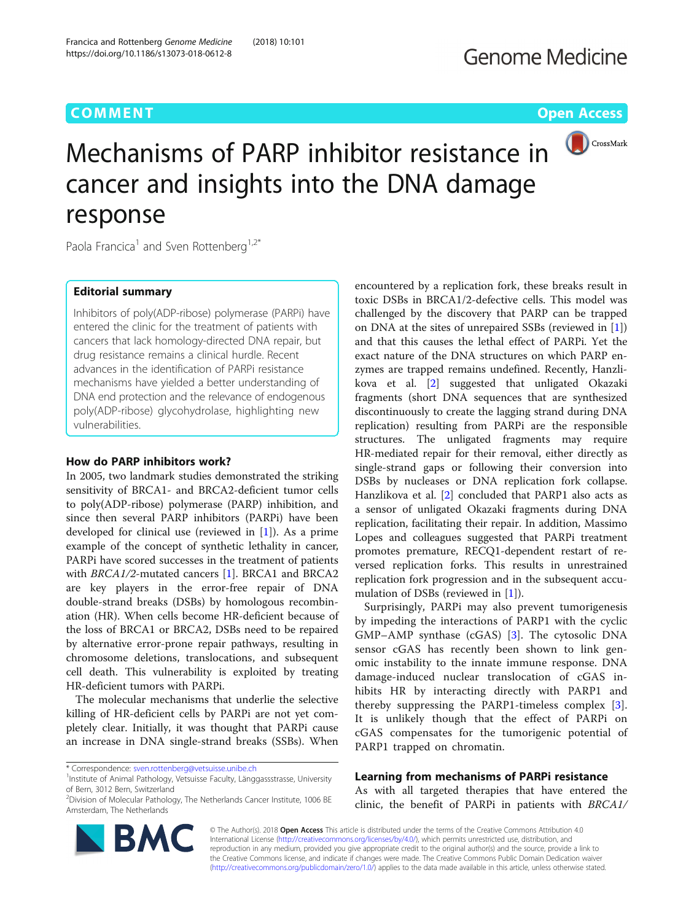# **COMMENT COMMENT COMMENT COMMENT**



# Mechanisms of PARP inhibitor resistance in cancer and insights into the DNA damage response

Paola Francica<sup>1</sup> and Sven Rottenberg<sup>1,2\*</sup>

# Editorial summary

Inhibitors of poly(ADP-ribose) polymerase (PARPi) have entered the clinic for the treatment of patients with cancers that lack homology-directed DNA repair, but drug resistance remains a clinical hurdle. Recent advances in the identification of PARPi resistance mechanisms have yielded a better understanding of DNA end protection and the relevance of endogenous poly(ADP-ribose) glycohydrolase, highlighting new vulnerabilities.

# How do PARP inhibitors work?

In 2005, two landmark studies demonstrated the striking sensitivity of BRCA1- and BRCA2-deficient tumor cells to poly(ADP-ribose) polymerase (PARP) inhibition, and since then several PARP inhibitors (PARPi) have been developed for clinical use (reviewed in [[1\]](#page-2-0)). As a prime example of the concept of synthetic lethality in cancer, PARPi have scored successes in the treatment of patients with *BRCA1*/2-mutated cancers [\[1](#page-2-0)]. BRCA1 and BRCA2 are key players in the error-free repair of DNA double-strand breaks (DSBs) by homologous recombination (HR). When cells become HR-deficient because of the loss of BRCA1 or BRCA2, DSBs need to be repaired by alternative error-prone repair pathways, resulting in chromosome deletions, translocations, and subsequent cell death. This vulnerability is exploited by treating HR-deficient tumors with PARPi.

The molecular mechanisms that underlie the selective killing of HR-deficient cells by PARPi are not yet completely clear. Initially, it was thought that PARPi cause an increase in DNA single-strand breaks (SSBs). When



Surprisingly, PARPi may also prevent tumorigenesis by impeding the interactions of PARP1 with the cyclic GMP–AMP synthase (cGAS) [[3\]](#page-2-0). The cytosolic DNA sensor cGAS has recently been shown to link genomic instability to the innate immune response. DNA damage-induced nuclear translocation of cGAS inhibits HR by interacting directly with PARP1 and thereby suppressing the PARP1-timeless complex [\[3](#page-2-0)]. It is unlikely though that the effect of PARPi on cGAS compensates for the tumorigenic potential of PARP1 trapped on chromatin.

Learning from mechanisms of PARPi resistance

As with all targeted therapies that have entered the clinic, the benefit of PARPi in patients with BRCA1/



© The Author(s). 2018 Open Access This article is distributed under the terms of the Creative Commons Attribution 4.0 International License [\(http://creativecommons.org/licenses/by/4.0/](http://creativecommons.org/licenses/by/4.0/)), which permits unrestricted use, distribution, and reproduction in any medium, provided you give appropriate credit to the original author(s) and the source, provide a link to the Creative Commons license, and indicate if changes were made. The Creative Commons Public Domain Dedication waiver [\(http://creativecommons.org/publicdomain/zero/1.0/](http://creativecommons.org/publicdomain/zero/1.0/)) applies to the data made available in this article, unless otherwise stated.

<sup>\*</sup> Correspondence: [sven.rottenberg@vetsuisse.unibe.ch](mailto:sven.rottenberg@vetsuisse.unibe.ch) <sup>1</sup>

<sup>&</sup>lt;sup>1</sup>Institute of Animal Pathology, Vetsuisse Faculty, Länggassstrasse, University of Bern, 3012 Bern, Switzerland

<sup>&</sup>lt;sup>2</sup>Division of Molecular Pathology, The Netherlands Cancer Institute, 1006 BE Amsterdam, The Netherlands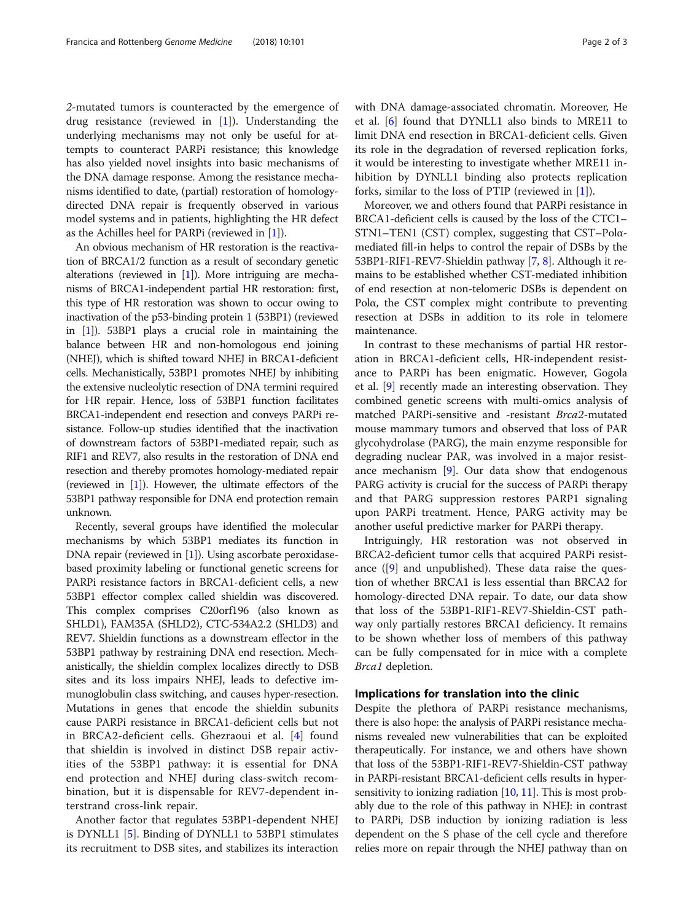2-mutated tumors is counteracted by the emergence of drug resistance (reviewed in  $[1]$  $[1]$ ). Understanding the underlying mechanisms may not only be useful for attempts to counteract PARPi resistance; this knowledge has also yielded novel insights into basic mechanisms of the DNA damage response. Among the resistance mechanisms identified to date, (partial) restoration of homologydirected DNA repair is frequently observed in various model systems and in patients, highlighting the HR defect as the Achilles heel for PARPi (reviewed in [[1\]](#page-2-0)).

An obvious mechanism of HR restoration is the reactivation of BRCA1/2 function as a result of secondary genetic alterations (reviewed in [\[1\]](#page-2-0)). More intriguing are mechanisms of BRCA1-independent partial HR restoration: first, this type of HR restoration was shown to occur owing to inactivation of the p53-binding protein 1 (53BP1) (reviewed in [\[1](#page-2-0)]). 53BP1 plays a crucial role in maintaining the balance between HR and non-homologous end joining (NHEJ), which is shifted toward NHEJ in BRCA1-deficient cells. Mechanistically, 53BP1 promotes NHEJ by inhibiting the extensive nucleolytic resection of DNA termini required for HR repair. Hence, loss of 53BP1 function facilitates BRCA1-independent end resection and conveys PARPi resistance. Follow-up studies identified that the inactivation of downstream factors of 53BP1-mediated repair, such as RIF1 and REV7, also results in the restoration of DNA end resection and thereby promotes homology-mediated repair (reviewed in [[1](#page-2-0)]). However, the ultimate effectors of the 53BP1 pathway responsible for DNA end protection remain unknown.

Recently, several groups have identified the molecular mechanisms by which 53BP1 mediates its function in DNA repair (reviewed in [\[1\]](#page-2-0)). Using ascorbate peroxidasebased proximity labeling or functional genetic screens for PARPi resistance factors in BRCA1-deficient cells, a new 53BP1 effector complex called shieldin was discovered. This complex comprises C20orf196 (also known as SHLD1), FAM35A (SHLD2), CTC-534A2.2 (SHLD3) and REV7. Shieldin functions as a downstream effector in the 53BP1 pathway by restraining DNA end resection. Mechanistically, the shieldin complex localizes directly to DSB sites and its loss impairs NHEJ, leads to defective immunoglobulin class switching, and causes hyper-resection. Mutations in genes that encode the shieldin subunits cause PARPi resistance in BRCA1-deficient cells but not in BRCA2-deficient cells. Ghezraoui et al. [\[4](#page-2-0)] found that shieldin is involved in distinct DSB repair activities of the 53BP1 pathway: it is essential for DNA end protection and NHEJ during class-switch recombination, but it is dispensable for REV7-dependent interstrand cross-link repair.

Another factor that regulates 53BP1-dependent NHEJ is DYNLL1 [\[5](#page-2-0)]. Binding of DYNLL1 to 53BP1 stimulates its recruitment to DSB sites, and stabilizes its interaction with DNA damage-associated chromatin. Moreover, He et al. [\[6](#page-2-0)] found that DYNLL1 also binds to MRE11 to limit DNA end resection in BRCA1-deficient cells. Given its role in the degradation of reversed replication forks, it would be interesting to investigate whether MRE11 inhibition by DYNLL1 binding also protects replication forks, similar to the loss of PTIP (reviewed in [\[1](#page-2-0)]).

Moreover, we and others found that PARPi resistance in BRCA1-deficient cells is caused by the loss of the CTC1– STN1–TEN1 (CST) complex, suggesting that CST–Polαmediated fill-in helps to control the repair of DSBs by the 53BP1-RIF1-REV7-Shieldin pathway [\[7](#page-2-0), [8\]](#page-2-0). Although it remains to be established whether CST-mediated inhibition of end resection at non-telomeric DSBs is dependent on Polα, the CST complex might contribute to preventing resection at DSBs in addition to its role in telomere maintenance.

In contrast to these mechanisms of partial HR restoration in BRCA1-deficient cells, HR-independent resistance to PARPi has been enigmatic. However, Gogola et al. [[9](#page-2-0)] recently made an interesting observation. They combined genetic screens with multi-omics analysis of matched PARPi-sensitive and -resistant Brca2-mutated mouse mammary tumors and observed that loss of PAR glycohydrolase (PARG), the main enzyme responsible for degrading nuclear PAR, was involved in a major resistance mechanism [\[9](#page-2-0)]. Our data show that endogenous PARG activity is crucial for the success of PARPi therapy and that PARG suppression restores PARP1 signaling upon PARPi treatment. Hence, PARG activity may be another useful predictive marker for PARPi therapy.

Intriguingly, HR restoration was not observed in BRCA2-deficient tumor cells that acquired PARPi resistance  $(9)$  and unpublished). These data raise the question of whether BRCA1 is less essential than BRCA2 for homology-directed DNA repair. To date, our data show that loss of the 53BP1-RIF1-REV7-Shieldin-CST pathway only partially restores BRCA1 deficiency. It remains to be shown whether loss of members of this pathway can be fully compensated for in mice with a complete Brca1 depletion.

## Implications for translation into the clinic

Despite the plethora of PARPi resistance mechanisms, there is also hope: the analysis of PARPi resistance mechanisms revealed new vulnerabilities that can be exploited therapeutically. For instance, we and others have shown that loss of the 53BP1-RIF1-REV7-Shieldin-CST pathway in PARPi-resistant BRCA1-deficient cells results in hypersensitivity to ionizing radiation [\[10,](#page-2-0) [11](#page-2-0)]. This is most probably due to the role of this pathway in NHEJ: in contrast to PARPi, DSB induction by ionizing radiation is less dependent on the S phase of the cell cycle and therefore relies more on repair through the NHEJ pathway than on